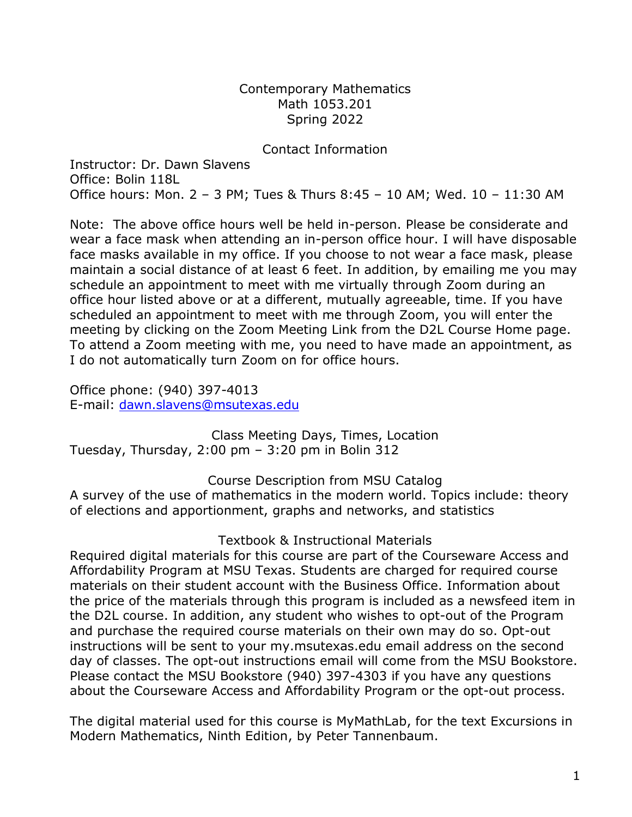Contemporary Mathematics Math 1053.201 Spring 2022

### Contact Information

Instructor: Dr. Dawn Slavens Office: Bolin 118L Office hours: Mon. 2 – 3 PM; Tues & Thurs 8:45 – 10 AM; Wed. 10 – 11:30 AM

Note: The above office hours well be held in-person. Please be considerate and wear a face mask when attending an in-person office hour. I will have disposable face masks available in my office. If you choose to not wear a face mask, please maintain a social distance of at least 6 feet. In addition, by emailing me you may schedule an appointment to meet with me virtually through Zoom during an office hour listed above or at a different, mutually agreeable, time. If you have scheduled an appointment to meet with me through Zoom, you will enter the meeting by clicking on the Zoom Meeting Link from the D2L Course Home page. To attend a Zoom meeting with me, you need to have made an appointment, as I do not automatically turn Zoom on for office hours.

Office phone: (940) 397-4013 E-mail: [dawn.slavens@msutexas.edu](mailto:dawn.slavens@msutexas.edu)

Class Meeting Days, Times, Location Tuesday, Thursday, 2:00 pm – 3:20 pm in Bolin 312

Course Description from MSU Catalog

A survey of the use of mathematics in the modern world. Topics include: theory of elections and apportionment, graphs and networks, and statistics

Textbook & Instructional Materials

Required digital materials for this course are part of the Courseware Access and Affordability Program at MSU Texas. Students are charged for required course materials on their student account with the Business Office. Information about the price of the materials through this program is included as a newsfeed item in the D2L course. In addition, any student who wishes to opt-out of the Program and purchase the required course materials on their own may do so. Opt-out instructions will be sent to your my.msutexas.edu email address on the second day of classes. The opt-out instructions email will come from the MSU Bookstore. Please contact the MSU Bookstore (940) 397-4303 if you have any questions about the Courseware Access and Affordability Program or the opt-out process.

The digital material used for this course is MyMathLab, for the text Excursions in Modern Mathematics, Ninth Edition, by Peter Tannenbaum.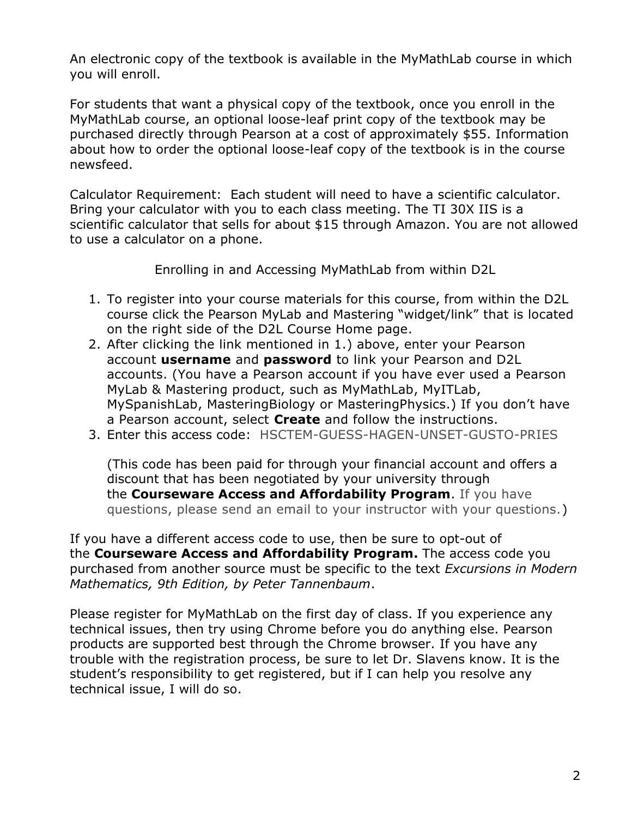An electronic copy of the textbook is available in the MyMathLab course in which you will enroll.

For students that want a physical copy of the textbook, once you enroll in the MyMathLab course, an optional loose-leaf print copy of the textbook may be purchased directly through Pearson at a cost of approximately \$55. Information about how to order the optional loose-leaf copy of the textbook is in the course newsfeed.

Calculator Requirement: Each student will need to have a scientific calculator. Bring your calculator with you to each class meeting. The TI 30X IIS is a scientific calculator that sells for about \$15 through Amazon. You are not allowed to use a calculator on a phone.

Enrolling in and Accessing MyMathLab from within D2L

- 1. To register into your course materials for this course, from within the D2L course click the Pearson MyLab and Mastering "widget/link" that is located on the right side of the D2L Course Home page.
- 2. After clicking the link mentioned in 1.) above, enter your Pearson account **username** and **password** to link your Pearson and D2L accounts. (You have a Pearson account if you have ever used a Pearson MyLab & Mastering product, such as MyMathLab, MyITLab, MySpanishLab, MasteringBiology or MasteringPhysics.) If you don't have a Pearson account, select **Create** and follow the instructions.
- 3. Enter this access code: HSCTEM-GUESS-HAGEN-UNSET-GUSTO-PRIES

(This code has been paid for through your financial account and offers a discount that has been negotiated by your university through the **Courseware Access and Affordability Program**. If you have questions, please send an email to your instructor with your questions.)

If you have a different access code to use, then be sure to opt-out of the **Courseware Access and Affordability Program.** The access code you purchased from another source must be specific to the text *Excursions in Modern Mathematics, 9th Edition, by Peter Tannenbaum*.

Please register for MyMathLab on the first day of class. If you experience any technical issues, then try using Chrome before you do anything else. Pearson products are supported best through the Chrome browser. If you have any trouble with the registration process, be sure to let Dr. Slavens know. It is the student's responsibility to get registered, but if I can help you resolve any technical issue, I will do so.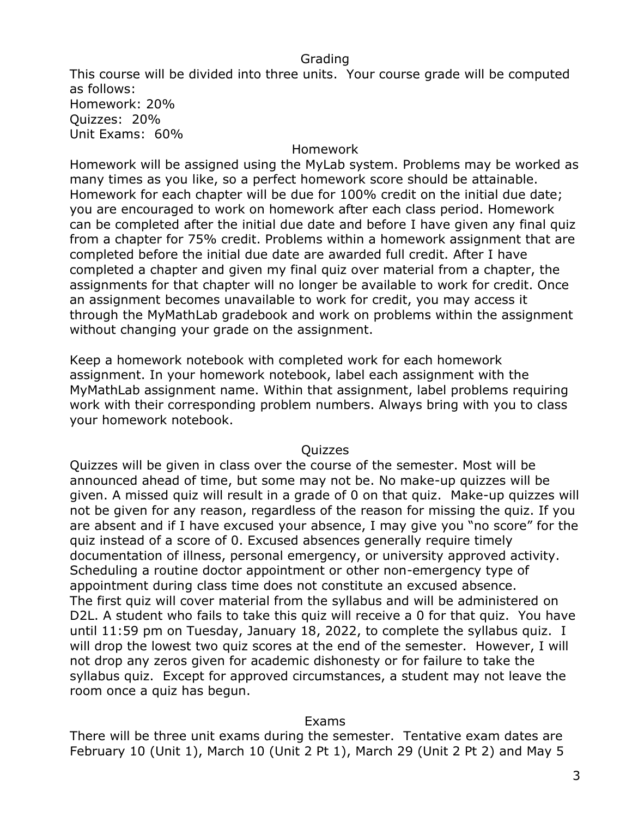### Grading

This course will be divided into three units. Your course grade will be computed as follows: Homework: 20% Quizzes: 20% Unit Exams: 60%

### Homework

Homework will be assigned using the MyLab system. Problems may be worked as many times as you like, so a perfect homework score should be attainable. Homework for each chapter will be due for 100% credit on the initial due date; you are encouraged to work on homework after each class period. Homework can be completed after the initial due date and before I have given any final quiz from a chapter for 75% credit. Problems within a homework assignment that are completed before the initial due date are awarded full credit. After I have completed a chapter and given my final quiz over material from a chapter, the assignments for that chapter will no longer be available to work for credit. Once an assignment becomes unavailable to work for credit, you may access it through the MyMathLab gradebook and work on problems within the assignment without changing your grade on the assignment.

Keep a homework notebook with completed work for each homework assignment. In your homework notebook, label each assignment with the MyMathLab assignment name. Within that assignment, label problems requiring work with their corresponding problem numbers. Always bring with you to class your homework notebook.

### Quizzes

Quizzes will be given in class over the course of the semester. Most will be announced ahead of time, but some may not be. No make-up quizzes will be given. A missed quiz will result in a grade of 0 on that quiz. Make-up quizzes will not be given for any reason, regardless of the reason for missing the quiz. If you are absent and if I have excused your absence, I may give you "no score" for the quiz instead of a score of 0. Excused absences generally require timely documentation of illness, personal emergency, or university approved activity. Scheduling a routine doctor appointment or other non-emergency type of appointment during class time does not constitute an excused absence. The first quiz will cover material from the syllabus and will be administered on D2L. A student who fails to take this quiz will receive a 0 for that quiz. You have until 11:59 pm on Tuesday, January 18, 2022, to complete the syllabus quiz. I will drop the lowest two quiz scores at the end of the semester. However, I will not drop any zeros given for academic dishonesty or for failure to take the syllabus quiz. Except for approved circumstances, a student may not leave the room once a quiz has begun.

### Exams

There will be three unit exams during the semester. Tentative exam dates are February 10 (Unit 1), March 10 (Unit 2 Pt 1), March 29 (Unit 2 Pt 2) and May 5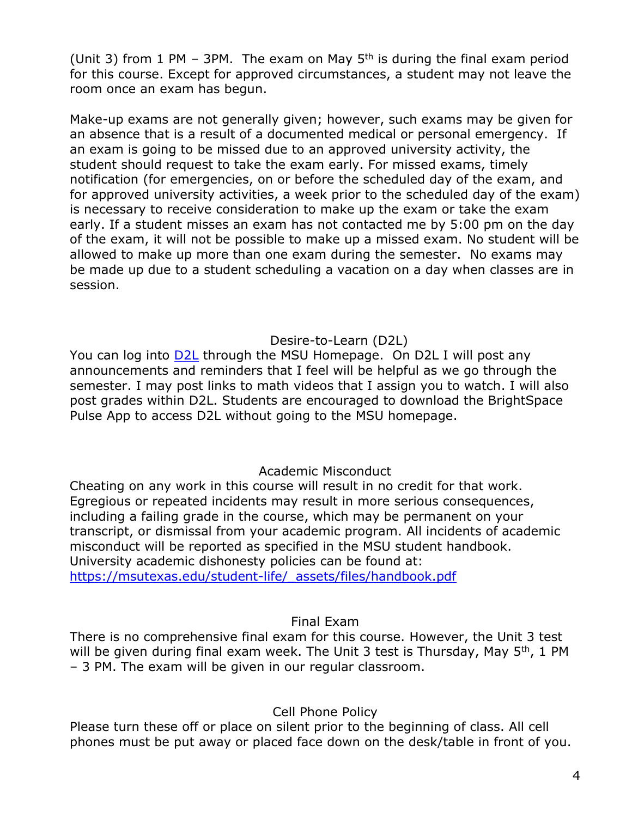(Unit 3) from 1 PM – 3PM. The exam on May  $5<sup>th</sup>$  is during the final exam period for this course. Except for approved circumstances, a student may not leave the room once an exam has begun.

Make-up exams are not generally given; however, such exams may be given for an absence that is a result of a documented medical or personal emergency. If an exam is going to be missed due to an approved university activity, the student should request to take the exam early. For missed exams, timely notification (for emergencies, on or before the scheduled day of the exam, and for approved university activities, a week prior to the scheduled day of the exam) is necessary to receive consideration to make up the exam or take the exam early. If a student misses an exam has not contacted me by 5:00 pm on the day of the exam, it will not be possible to make up a missed exam. No student will be allowed to make up more than one exam during the semester. No exams may be made up due to a student scheduling a vacation on a day when classes are in session.

# Desire-to-Learn (D2L)

You can log into [D2L](https://d2l.mwsu.edu/) through the MSU Homepage. On D2L I will post any announcements and reminders that I feel will be helpful as we go through the semester. I may post links to math videos that I assign you to watch. I will also post grades within D2L. Students are encouraged to download the BrightSpace Pulse App to access D2L without going to the MSU homepage.

# Academic Misconduct

Cheating on any work in this course will result in no credit for that work. Egregious or repeated incidents may result in more serious consequences, including a failing grade in the course, which may be permanent on your transcript, or dismissal from your academic program. All incidents of academic misconduct will be reported as specified in the MSU student handbook. University academic dishonesty policies can be found at: [https://msutexas.edu/student-life/\\_assets/files/handbook.pdf](https://msutexas.edu/student-life/_assets/files/handbook.pdf)

## Final Exam

There is no comprehensive final exam for this course. However, the Unit 3 test will be given during final exam week. The Unit 3 test is Thursday, May  $5<sup>th</sup>$ , 1 PM – 3 PM. The exam will be given in our regular classroom.

## Cell Phone Policy

Please turn these off or place on silent prior to the beginning of class. All cell phones must be put away or placed face down on the desk/table in front of you.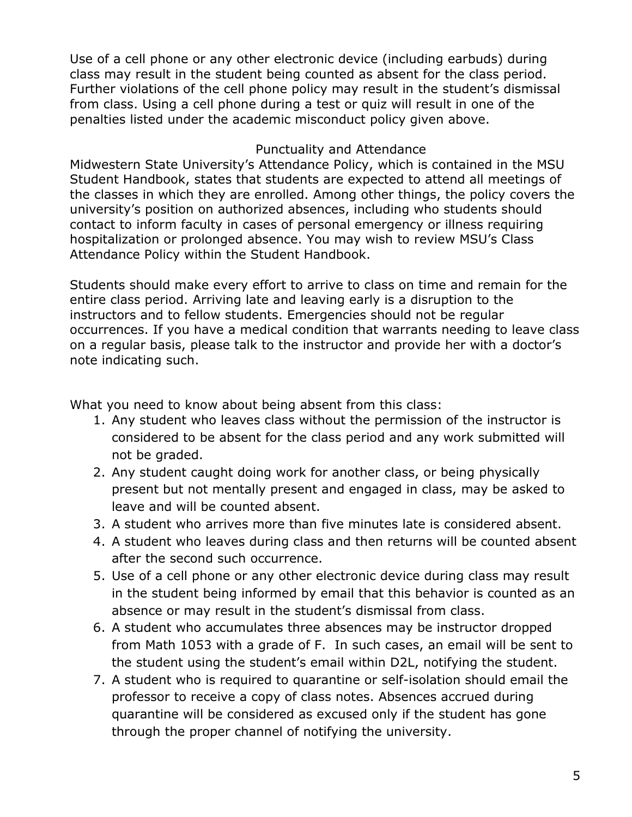Use of a cell phone or any other electronic device (including earbuds) during class may result in the student being counted as absent for the class period. Further violations of the cell phone policy may result in the student's dismissal from class. Using a cell phone during a test or quiz will result in one of the penalties listed under the academic misconduct policy given above.

# Punctuality and Attendance

Midwestern State University's Attendance Policy, which is contained in the MSU Student Handbook, states that students are expected to attend all meetings of the classes in which they are enrolled. Among other things, the policy covers the university's position on authorized absences, including who students should contact to inform faculty in cases of personal emergency or illness requiring hospitalization or prolonged absence. You may wish to review MSU's Class Attendance Policy within the Student Handbook.

Students should make every effort to arrive to class on time and remain for the entire class period. Arriving late and leaving early is a disruption to the instructors and to fellow students. Emergencies should not be regular occurrences. If you have a medical condition that warrants needing to leave class on a regular basis, please talk to the instructor and provide her with a doctor's note indicating such.

What you need to know about being absent from this class:

- 1. Any student who leaves class without the permission of the instructor is considered to be absent for the class period and any work submitted will not be graded.
- 2. Any student caught doing work for another class, or being physically present but not mentally present and engaged in class, may be asked to leave and will be counted absent.
- 3. A student who arrives more than five minutes late is considered absent.
- 4. A student who leaves during class and then returns will be counted absent after the second such occurrence.
- 5. Use of a cell phone or any other electronic device during class may result in the student being informed by email that this behavior is counted as an absence or may result in the student's dismissal from class.
- 6. A student who accumulates three absences may be instructor dropped from Math 1053 with a grade of F. In such cases, an email will be sent to the student using the student's email within D2L, notifying the student.
- 7. A student who is required to quarantine or self-isolation should email the professor to receive a copy of class notes. Absences accrued during quarantine will be considered as excused only if the student has gone through the proper channel of notifying the university.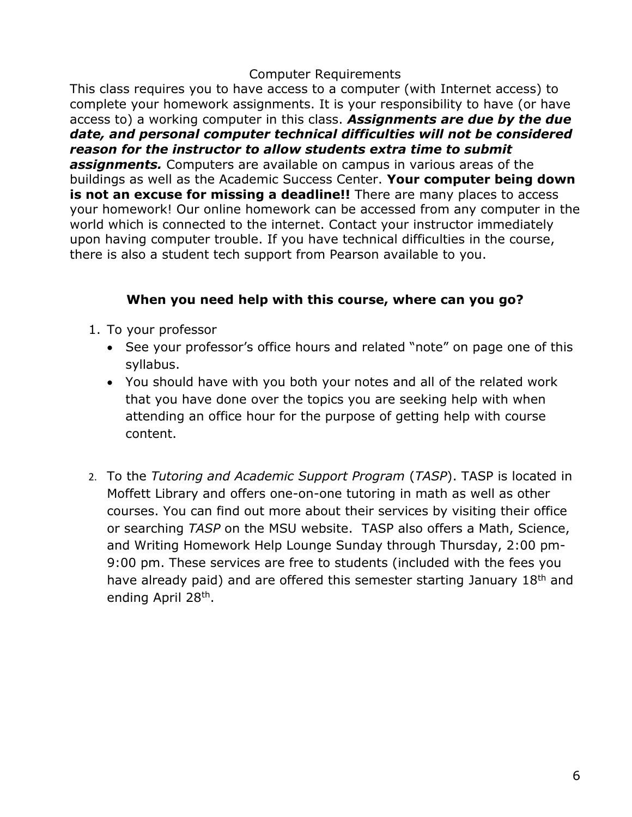## Computer Requirements

This class requires you to have access to a computer (with Internet access) to complete your homework assignments. It is your responsibility to have (or have access to) a working computer in this class. *Assignments are due by the due date, and personal computer technical difficulties will not be considered reason for the instructor to allow students extra time to submit assignments.* Computers are available on campus in various areas of the buildings as well as the Academic Success Center. **Your computer being down is not an excuse for missing a deadline!!** There are many places to access your homework! Our online homework can be accessed from any computer in the world which is connected to the internet. Contact your instructor immediately upon having computer trouble. If you have technical difficulties in the course, there is also a student tech support from Pearson available to you.

# **When you need help with this course, where can you go?**

- 1. To your professor
	- See your professor's office hours and related "note" on page one of this syllabus.
	- You should have with you both your notes and all of the related work that you have done over the topics you are seeking help with when attending an office hour for the purpose of getting help with course content.
- 2. To the *Tutoring and Academic Support Program* (*TASP*). TASP is located in Moffett Library and offers one-on-one tutoring in math as well as other courses. You can find out more about their services by visiting their office or searching *TASP* on the MSU website. TASP also offers a Math, Science, and Writing Homework Help Lounge Sunday through Thursday, 2:00 pm-9:00 pm. These services are free to students (included with the fees you have already paid) and are offered this semester starting January 18<sup>th</sup> and ending April 28<sup>th</sup>.